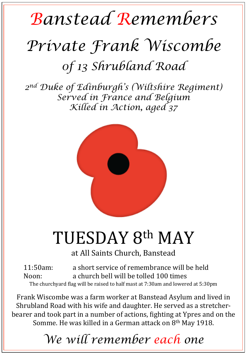## *Banstead Remembers Private Frank Wiscombe 0f 13 Shrubland Road*

*2nd Duke of Edinburgh's (Wiltshire Regiment) Served in France and Belgium Killed in Action, aged 37* 



## TUESDAY 8th MAY

at All Saints Church, Banstead

11:50am: a short service of remembrance will be held Noon: a church bell will be tolled 100 times The churchyard flag will be raised to half mast at 7:30am and lowered at 5:30pm

Frank Wiscombe was a farm worker at Banstead Asylum and lived in Shrubland Road with his wife and daughter. He served as a stretcherbearer and took part in a number of actions, fighting at Ypres and on the Somme. He was killed in a German attack on  $8<sup>th</sup>$  May 1918.

*We will remember each one*